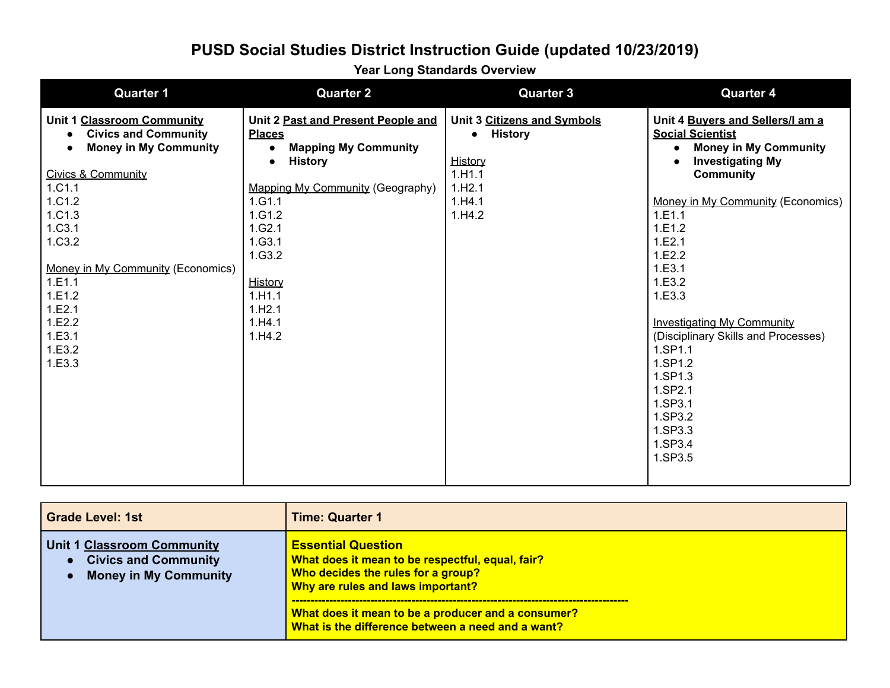**Year Long Standards Overview**

| <b>Quarter 1</b>                                                                                                                                                                                                                                                   | <b>Quarter 2</b>                                                                                                                                                                                                                                                        | <b>Quarter 3</b>                                                                                              | <b>Quarter 4</b>                                                                                                                                                                                                                                                                                                                             |
|--------------------------------------------------------------------------------------------------------------------------------------------------------------------------------------------------------------------------------------------------------------------|-------------------------------------------------------------------------------------------------------------------------------------------------------------------------------------------------------------------------------------------------------------------------|---------------------------------------------------------------------------------------------------------------|----------------------------------------------------------------------------------------------------------------------------------------------------------------------------------------------------------------------------------------------------------------------------------------------------------------------------------------------|
| Unit 1 Classroom Community<br><b>Civics and Community</b><br><b>Money in My Community</b><br>Civics & Community<br>1.C1.1<br>1.C1.2<br>1.C1.3<br>1.C3.1<br>1.C3.2<br>Money in My Community (Economics)<br>1.E1.1<br>1.E1.2<br>1.E2.1<br>1.E2.2<br>1.E3.1<br>1.E3.2 | Unit 2 Past and Present People and<br><b>Places</b><br><b>Mapping My Community</b><br>$\bullet$<br><b>History</b><br>$\bullet$<br>Mapping My Community (Geography)<br>1.G1.1<br>1.G1.2<br>1.G2.1<br>1.G3.1<br>1.G3.2<br>History<br>1.H1.1<br>1.H2.1<br>1.H4.1<br>1.H4.2 | Unit 3 Citizens and Symbols<br><b>History</b><br>$\bullet$<br>History<br>1.H1.1<br>1.H2.1<br>1.H4.1<br>1.H4.2 | Unit 4 Buyers and Sellers/I am a<br><b>Social Scientist</b><br><b>Money in My Community</b><br><b>Investigating My</b><br><b>Community</b><br>Money in My Community (Economics)<br>1.E1.1<br>1.E1.2<br>1.E2.1<br>1.E2.2<br>1.E3.1<br>1.E3.2<br>1.E3.3<br><b>Investigating My Community</b><br>(Disciplinary Skills and Processes)<br>1.SP1.1 |
| 1.E3.3                                                                                                                                                                                                                                                             |                                                                                                                                                                                                                                                                         |                                                                                                               | 1.SP1.2<br>1.SP1.3<br>1.SP2.1<br>1.SP3.1<br>1.SP3.2<br>1.SP3.3<br>1.SP3.4<br>1.SP3.5                                                                                                                                                                                                                                                         |

| <b>Grade Level: 1st</b>                                                                          | <b>Time: Quarter 1</b>                                                                                                                                                                                         |
|--------------------------------------------------------------------------------------------------|----------------------------------------------------------------------------------------------------------------------------------------------------------------------------------------------------------------|
| <b>Unit 1 Classroom Community</b><br><b>Civics and Community</b><br><b>Money in My Community</b> | <b>Essential Question</b><br>What does it mean to be respectful, equal, fair?<br>Who decides the rules for a group?<br>Why are rules and laws important?<br>What does it mean to be a producer and a consumer? |
|                                                                                                  | What is the difference between a need and a want?                                                                                                                                                              |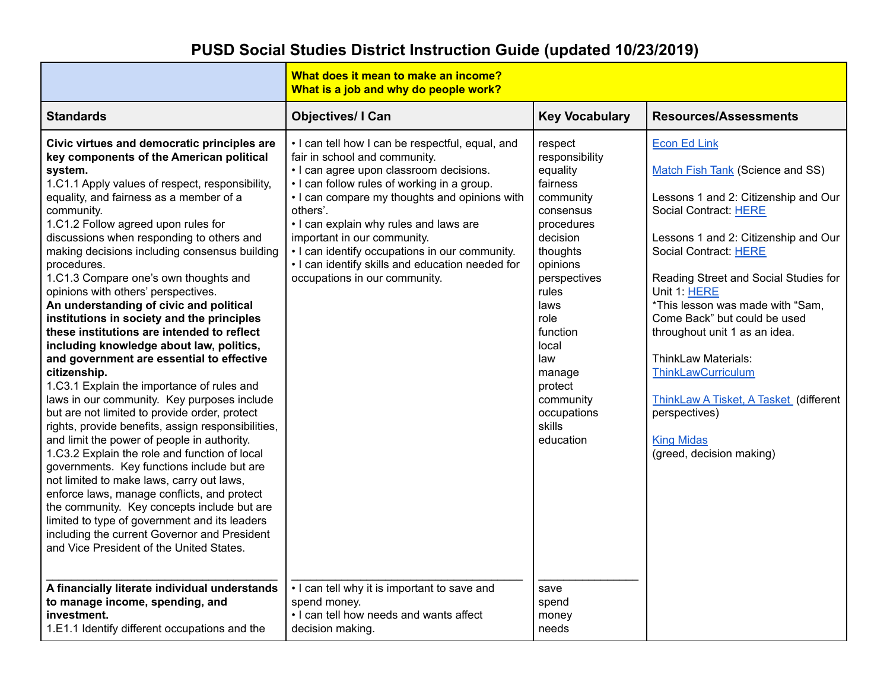|                                                                                                                                                                                                                                                                                                                                                                                                                                                                                                                                                                                                                                                                                                                                                                                                                                                                                                                                                                                                                                                                                                                                                                                                                                                                                                                                              | What does it mean to make an income?<br>What is a job and why do people work?                                                                                                                                                                                                                                                                                                                                                                            |                                                                                                                                                                                                                                                                            |                                                                                                                                                                                                                                                                                                                                                                                                                                                                                                                                |
|----------------------------------------------------------------------------------------------------------------------------------------------------------------------------------------------------------------------------------------------------------------------------------------------------------------------------------------------------------------------------------------------------------------------------------------------------------------------------------------------------------------------------------------------------------------------------------------------------------------------------------------------------------------------------------------------------------------------------------------------------------------------------------------------------------------------------------------------------------------------------------------------------------------------------------------------------------------------------------------------------------------------------------------------------------------------------------------------------------------------------------------------------------------------------------------------------------------------------------------------------------------------------------------------------------------------------------------------|----------------------------------------------------------------------------------------------------------------------------------------------------------------------------------------------------------------------------------------------------------------------------------------------------------------------------------------------------------------------------------------------------------------------------------------------------------|----------------------------------------------------------------------------------------------------------------------------------------------------------------------------------------------------------------------------------------------------------------------------|--------------------------------------------------------------------------------------------------------------------------------------------------------------------------------------------------------------------------------------------------------------------------------------------------------------------------------------------------------------------------------------------------------------------------------------------------------------------------------------------------------------------------------|
| <b>Standards</b>                                                                                                                                                                                                                                                                                                                                                                                                                                                                                                                                                                                                                                                                                                                                                                                                                                                                                                                                                                                                                                                                                                                                                                                                                                                                                                                             | <b>Objectives/ I Can</b>                                                                                                                                                                                                                                                                                                                                                                                                                                 | <b>Key Vocabulary</b>                                                                                                                                                                                                                                                      | <b>Resources/Assessments</b>                                                                                                                                                                                                                                                                                                                                                                                                                                                                                                   |
| Civic virtues and democratic principles are<br>key components of the American political<br>system.<br>1.C1.1 Apply values of respect, responsibility,<br>equality, and fairness as a member of a<br>community.<br>1.C1.2 Follow agreed upon rules for<br>discussions when responding to others and<br>making decisions including consensus building<br>procedures.<br>1.C1.3 Compare one's own thoughts and<br>opinions with others' perspectives.<br>An understanding of civic and political<br>institutions in society and the principles<br>these institutions are intended to reflect<br>including knowledge about law, politics,<br>and government are essential to effective<br>citizenship.<br>1.C3.1 Explain the importance of rules and<br>laws in our community. Key purposes include<br>but are not limited to provide order, protect<br>rights, provide benefits, assign responsibilities,<br>and limit the power of people in authority.<br>1.C3.2 Explain the role and function of local<br>governments. Key functions include but are<br>not limited to make laws, carry out laws,<br>enforce laws, manage conflicts, and protect<br>the community. Key concepts include but are<br>limited to type of government and its leaders<br>including the current Governor and President<br>and Vice President of the United States. | . I can tell how I can be respectful, equal, and<br>fair in school and community.<br>• I can agree upon classroom decisions.<br>. I can follow rules of working in a group.<br>. I can compare my thoughts and opinions with<br>others'.<br>. I can explain why rules and laws are<br>important in our community.<br>• I can identify occupations in our community.<br>. I can identify skills and education needed for<br>occupations in our community. | respect<br>responsibility<br>equality<br>fairness<br>community<br>consensus<br>procedures<br>decision<br>thoughts<br>opinions<br>perspectives<br>rules<br>laws<br>role<br>function<br>local<br>law<br>manage<br>protect<br>community<br>occupations<br>skills<br>education | <b>Econ Ed Link</b><br><b>Match Fish Tank (Science and SS)</b><br>Lessons 1 and 2: Citizenship and Our<br>Social Contract: HERE<br>Lessons 1 and 2: Citizenship and Our<br>Social Contract: HERE<br>Reading Street and Social Studies for<br>Unit 1: HERE<br>*This lesson was made with "Sam,<br>Come Back" but could be used<br>throughout unit 1 as an idea.<br><b>ThinkLaw Materials:</b><br>ThinkLawCurriculum<br>ThinkLaw A Tisket, A Tasket (different<br>perspectives)<br><b>King Midas</b><br>(greed, decision making) |
| A financially literate individual understands<br>to manage income, spending, and<br>investment.<br>1.E1.1 Identify different occupations and the                                                                                                                                                                                                                                                                                                                                                                                                                                                                                                                                                                                                                                                                                                                                                                                                                                                                                                                                                                                                                                                                                                                                                                                             | • I can tell why it is important to save and<br>spend money.<br>. I can tell how needs and wants affect<br>decision making.                                                                                                                                                                                                                                                                                                                              | save<br>spend<br>money<br>needs                                                                                                                                                                                                                                            |                                                                                                                                                                                                                                                                                                                                                                                                                                                                                                                                |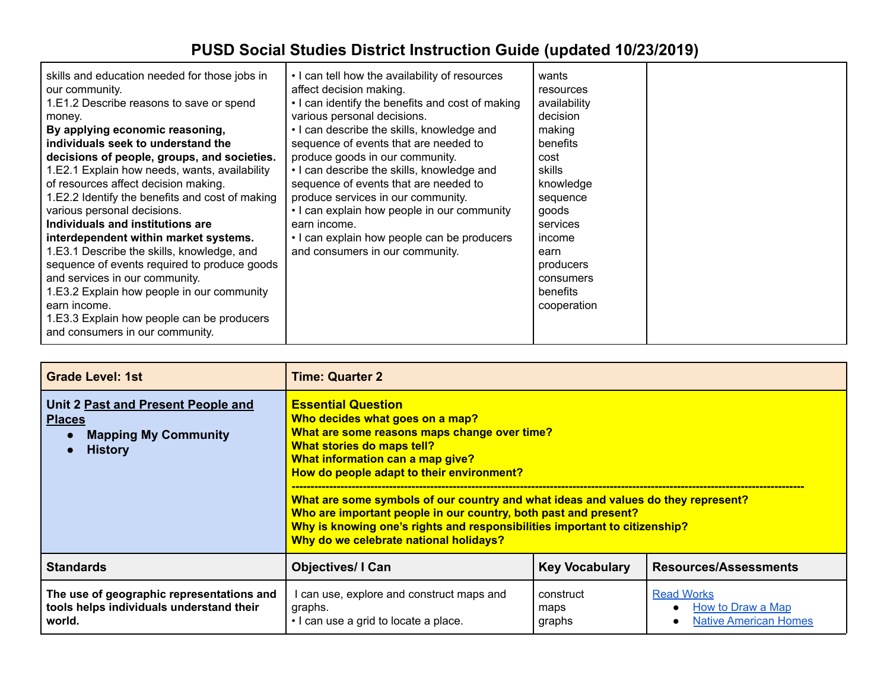| <b>Grade Level: 1st</b>                                                                              | Time: Quarter 2                                                                                                                                                                                                                                                                                                                                                                                                                                                                                             |                             |                                                                        |
|------------------------------------------------------------------------------------------------------|-------------------------------------------------------------------------------------------------------------------------------------------------------------------------------------------------------------------------------------------------------------------------------------------------------------------------------------------------------------------------------------------------------------------------------------------------------------------------------------------------------------|-----------------------------|------------------------------------------------------------------------|
| Unit 2 Past and Present People and<br><b>Places</b><br><b>Mapping My Community</b><br><b>History</b> | <b>Essential Question</b><br>Who decides what goes on a map?<br>What are some reasons maps change over time?<br>What stories do maps tell?<br>What information can a map give?<br>How do people adapt to their environment?<br>What are some symbols of our country and what ideas and values do they represent?<br>Who are important people in our country, both past and present?<br>Why is knowing one's rights and responsibilities important to citizenship?<br>Why do we celebrate national holidays? |                             |                                                                        |
| <b>Standards</b>                                                                                     | <b>Objectives/I Can</b>                                                                                                                                                                                                                                                                                                                                                                                                                                                                                     | <b>Key Vocabulary</b>       | <b>Resources/Assessments</b>                                           |
| The use of geographic representations and<br>tools helps individuals understand their<br>world.      | can use, explore and construct maps and<br>graphs.<br>• I can use a grid to locate a place.                                                                                                                                                                                                                                                                                                                                                                                                                 | construct<br>maps<br>graphs | <b>Read Works</b><br>How to Draw a Map<br><b>Native American Homes</b> |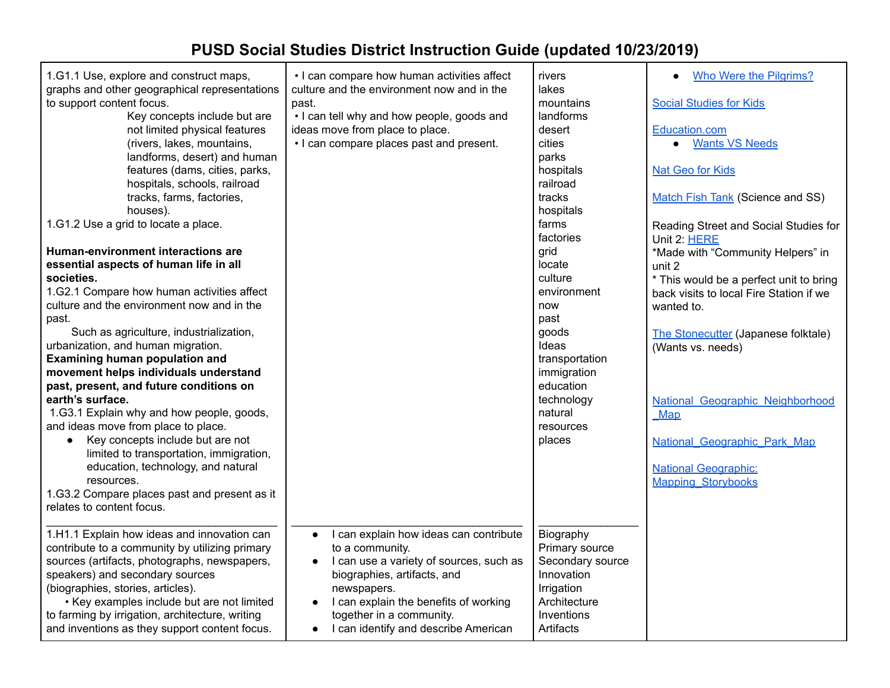| 1.G1.1 Use, explore and construct maps,<br>graphs and other geographical representations<br>to support content focus.<br>Key concepts include but are<br>not limited physical features<br>(rivers, lakes, mountains,<br>landforms, desert) and human<br>features (dams, cities, parks,<br>hospitals, schools, railroad<br>tracks, farms, factories,<br>houses).<br>1.G1.2 Use a grid to locate a place. | • I can compare how human activities affect<br>culture and the environment now and in the<br>past.<br>• I can tell why and how people, goods and<br>ideas move from place to place.<br>• I can compare places past and present.                                | rivers<br>lakes<br>mountains<br>landforms<br>desert<br>cities<br>parks<br>hospitals<br>railroad<br>tracks<br>hospitals<br>farms | Who Were the Pilgrims?<br>$\bullet$<br><b>Social Studies for Kids</b><br>Education.com<br><b>Wants VS Needs</b><br>$\bullet$<br><b>Nat Geo for Kids</b><br>Match Fish Tank (Science and SS)<br>Reading Street and Social Studies for |
|---------------------------------------------------------------------------------------------------------------------------------------------------------------------------------------------------------------------------------------------------------------------------------------------------------------------------------------------------------------------------------------------------------|----------------------------------------------------------------------------------------------------------------------------------------------------------------------------------------------------------------------------------------------------------------|---------------------------------------------------------------------------------------------------------------------------------|--------------------------------------------------------------------------------------------------------------------------------------------------------------------------------------------------------------------------------------|
|                                                                                                                                                                                                                                                                                                                                                                                                         |                                                                                                                                                                                                                                                                | factories                                                                                                                       | Unit 2: HERE                                                                                                                                                                                                                         |
| Human-environment interactions are                                                                                                                                                                                                                                                                                                                                                                      |                                                                                                                                                                                                                                                                | grid                                                                                                                            | *Made with "Community Helpers" in                                                                                                                                                                                                    |
| essential aspects of human life in all                                                                                                                                                                                                                                                                                                                                                                  |                                                                                                                                                                                                                                                                | locate                                                                                                                          | unit 2                                                                                                                                                                                                                               |
| societies.                                                                                                                                                                                                                                                                                                                                                                                              |                                                                                                                                                                                                                                                                | culture                                                                                                                         | * This would be a perfect unit to bring                                                                                                                                                                                              |
| 1.G2.1 Compare how human activities affect                                                                                                                                                                                                                                                                                                                                                              |                                                                                                                                                                                                                                                                | environment                                                                                                                     | back visits to local Fire Station if we                                                                                                                                                                                              |
| culture and the environment now and in the                                                                                                                                                                                                                                                                                                                                                              |                                                                                                                                                                                                                                                                | now                                                                                                                             | wanted to.                                                                                                                                                                                                                           |
| past.                                                                                                                                                                                                                                                                                                                                                                                                   |                                                                                                                                                                                                                                                                | past                                                                                                                            |                                                                                                                                                                                                                                      |
| Such as agriculture, industrialization,                                                                                                                                                                                                                                                                                                                                                                 |                                                                                                                                                                                                                                                                | goods                                                                                                                           | The Stonecutter (Japanese folktale)                                                                                                                                                                                                  |
| urbanization, and human migration.                                                                                                                                                                                                                                                                                                                                                                      |                                                                                                                                                                                                                                                                | Ideas                                                                                                                           | (Wants vs. needs)                                                                                                                                                                                                                    |
| <b>Examining human population and</b>                                                                                                                                                                                                                                                                                                                                                                   |                                                                                                                                                                                                                                                                | transportation                                                                                                                  |                                                                                                                                                                                                                                      |
| movement helps individuals understand                                                                                                                                                                                                                                                                                                                                                                   |                                                                                                                                                                                                                                                                | immigration                                                                                                                     |                                                                                                                                                                                                                                      |
| past, present, and future conditions on                                                                                                                                                                                                                                                                                                                                                                 |                                                                                                                                                                                                                                                                | education                                                                                                                       |                                                                                                                                                                                                                                      |
| earth's surface.                                                                                                                                                                                                                                                                                                                                                                                        |                                                                                                                                                                                                                                                                | technology                                                                                                                      | National Geographic Neighborhood                                                                                                                                                                                                     |
| 1.G3.1 Explain why and how people, goods,                                                                                                                                                                                                                                                                                                                                                               |                                                                                                                                                                                                                                                                | natural                                                                                                                         | Map                                                                                                                                                                                                                                  |
| and ideas move from place to place.                                                                                                                                                                                                                                                                                                                                                                     |                                                                                                                                                                                                                                                                | resources                                                                                                                       |                                                                                                                                                                                                                                      |
| Key concepts include but are not<br>$\bullet$                                                                                                                                                                                                                                                                                                                                                           |                                                                                                                                                                                                                                                                | places                                                                                                                          | National Geographic Park Map                                                                                                                                                                                                         |
| limited to transportation, immigration,                                                                                                                                                                                                                                                                                                                                                                 |                                                                                                                                                                                                                                                                |                                                                                                                                 |                                                                                                                                                                                                                                      |
| education, technology, and natural<br>resources.                                                                                                                                                                                                                                                                                                                                                        |                                                                                                                                                                                                                                                                |                                                                                                                                 | <b>National Geographic:</b>                                                                                                                                                                                                          |
| 1.G3.2 Compare places past and present as it                                                                                                                                                                                                                                                                                                                                                            |                                                                                                                                                                                                                                                                |                                                                                                                                 | <b>Mapping Storybooks</b>                                                                                                                                                                                                            |
| relates to content focus.                                                                                                                                                                                                                                                                                                                                                                               |                                                                                                                                                                                                                                                                |                                                                                                                                 |                                                                                                                                                                                                                                      |
|                                                                                                                                                                                                                                                                                                                                                                                                         |                                                                                                                                                                                                                                                                |                                                                                                                                 |                                                                                                                                                                                                                                      |
| 1.H1.1 Explain how ideas and innovation can<br>contribute to a community by utilizing primary<br>sources (artifacts, photographs, newspapers,<br>speakers) and secondary sources<br>(biographies, stories, articles).<br>• Key examples include but are not limited<br>to farming by irrigation, architecture, writing                                                                                  | I can explain how ideas can contribute<br>$\bullet$<br>to a community.<br>I can use a variety of sources, such as<br>$\bullet$<br>biographies, artifacts, and<br>newspapers.<br>I can explain the benefits of working<br>$\bullet$<br>together in a community. | Biography<br>Primary source<br>Secondary source<br>Innovation<br>Irrigation<br>Architecture<br>Inventions                       |                                                                                                                                                                                                                                      |
| and inventions as they support content focus.                                                                                                                                                                                                                                                                                                                                                           | I can identify and describe American<br>$\bullet$                                                                                                                                                                                                              | <b>Artifacts</b>                                                                                                                |                                                                                                                                                                                                                                      |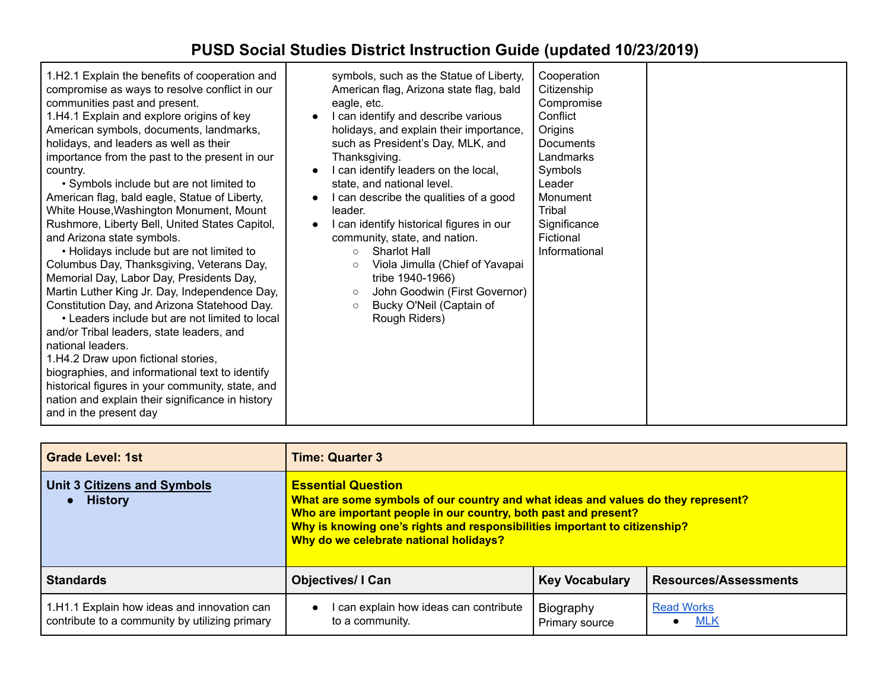| <b>Grade Level: 1st</b>                                                                       | <b>Time: Quarter 3</b>                                                                                                                                                                                                                                                                                    |                             |                                 |
|-----------------------------------------------------------------------------------------------|-----------------------------------------------------------------------------------------------------------------------------------------------------------------------------------------------------------------------------------------------------------------------------------------------------------|-----------------------------|---------------------------------|
| <b>Unit 3 Citizens and Symbols</b><br><b>History</b>                                          | <b>Essential Question</b><br>What are some symbols of our country and what ideas and values do they represent?<br>Who are important people in our country, both past and present?<br>Why is knowing one's rights and responsibilities important to citizenship?<br>Why do we celebrate national holidays? |                             |                                 |
| <b>Standards</b>                                                                              | <b>Objectives/I Can</b>                                                                                                                                                                                                                                                                                   | <b>Key Vocabulary</b>       | <b>Resources/Assessments</b>    |
| 1.H1.1 Explain how ideas and innovation can<br>contribute to a community by utilizing primary | can explain how ideas can contribute<br>$\bullet$<br>to a community.                                                                                                                                                                                                                                      | Biography<br>Primary source | <b>Read Works</b><br><b>MLK</b> |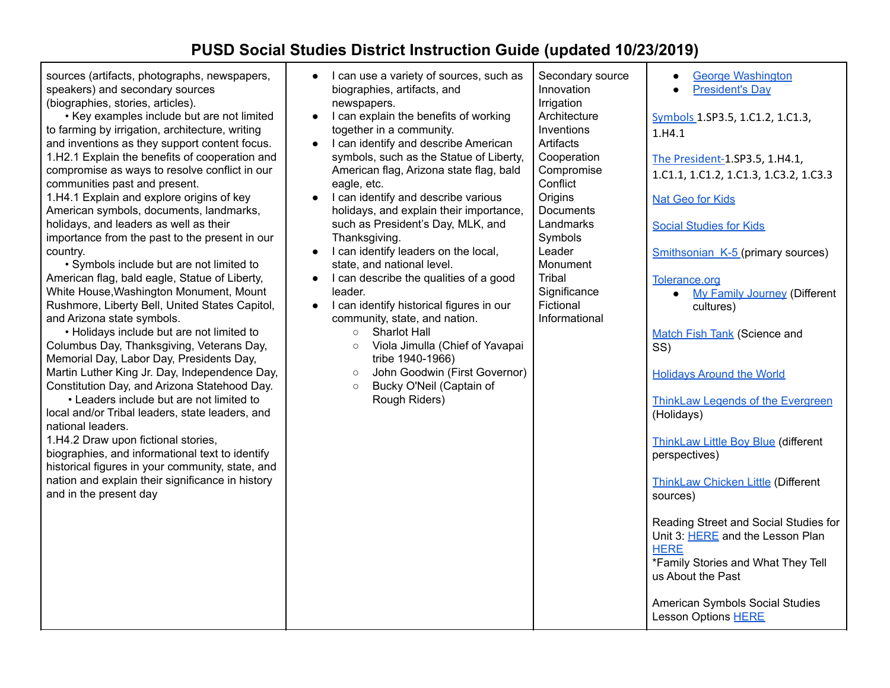sources (artifacts, photographs, newspapers, speakers) and secondary sources (biographies, stories, articles).

• Key examples include but are not limited to farming by irrigation, architecture, writing and inventions as they support content focus. 1.H2.1 Explain the benefits of cooperation and compromise as ways to resolve conflict in our communities past and present.

1.H4.1 Explain and explore origins of key American symbols, documents, landmarks, holidays, and leaders as well as their importance from the past to the present in our country.

• Symbols include but are not limited to American flag, bald eagle, Statue of Liberty, White House,Washington Monument, Mount Rushmore, Liberty Bell, United States Capitol, and Arizona state symbols.

• Holidays include but are not limited to Columbus Day, Thanksgiving, Veterans Day, Memorial Day, Labor Day, Presidents Day, Martin Luther King Jr. Day, Independence Day, Constitution Day, and Arizona Statehood Day.

• Leaders include but are not limited to local and/or Tribal leaders, state leaders, and national leaders.

1.H4.2 Draw upon fictional stories,

biographies, and informational text to identify historical figures in your community, state, and nation and explain their significance in history and in the present day

- I can use a variety of sources, such as biographies, artifacts, and newspapers.
- I can explain the benefits of working together in a community.
- I can identify and describe American symbols, such as the Statue of Liberty, American flag, Arizona state flag, bald eagle, etc.
- I can identify and describe various holidays, and explain their importance, such as President's Day, MLK, and Thanksgiving.
- I can identify leaders on the local, state, and national level.
- I can describe the qualities of a good leader.
- I can identify historical figures in our community, state, and nation.
	- Sharlot Hall
	- Viola Jimulla (Chief of Yavapai tribe 1940-1966)
	- John Goodwin (First Governor)
	- Bucky O'Neil (Captain of Rough Riders)

Secondary source Innovation Irrigation **Architecture** Inventions **Artifacts Cooperation** Compromise **Conflict Origins Documents Landmarks** Symbols Leader Monument **Tribal Significance** Fictional

Informational

● George [Washington](https://www.readworks.org/article/George-Washington/94ac1221-e916-40b1-b0a6-53da5b0a156e#!articleTab:content/) ● [President's](https://www.readworks.org/article/Presidents-Day/ec1138cd-568d-4fa3-80cc-0ce33f7b0c97#!articleTab:content/) Day [Symbols](http://www.c3teachers.org/inquiries/symbols/) 1.SP3.5, 1.C1.2, 1.C1.3, 1.H4.1 The [President-1](http://www.c3teachers.org/inquiries/the-president/).SP3.5, 1.H4.1, 1.C1.1, 1.C1.2, 1.C1.3, 1.C3.2, 1.C3.3 Nat Geo for [Kids](https://kids.nationalgeographic.com/) Social [Studies](http://socialstudiesforkids.com/) for Kids Smithsonian K-5 (primary sources) [Tolerance.org](https://www.tolerance.org) ● My Family [Journey](https://www.tolerance.org/lesson/my-family-journey) (Different cultures) [Match](https://www.matchfishtank.org) Fish Tank (Science and SS) [Holidays](https://www.teacherspayteachers.com/Product/Holidays-Around-the-World-Christmas-Around-the-World-Christmas-Activities-1000141) Around the World ThinkLaw Legends of the [Evergreen](https://drive.google.com/drive/folders/1mkGCi5vyLZYRdgok3917IUvIc5ahYs1Y) (Holidays) [ThinkLaw](https://docs.google.com/presentation/d/1P9gmoCb8ydZ-KrRxOGWLzfv6znZ_UaOZp7FVKY_AZVw/edit) Little Boy Blue (different perspectives) [ThinkLaw](https://docs.google.com/presentation/d/1chrizYLVWa5QwGP_egFaPf1EsY5H80oQUoYf0ymIRmk/edit#slide=id.p) Chicken Little (Different sources) Reading Street and Social Studies for Unit 3: [HERE](http://www.c3teachers.org/wp-content/uploads/2015/09/NewYork_1_Family_Stories.pdf) and the Lesson Plan **[HERE](https://docs.google.com/document/d/1_hKeu64QVrBWWygLraxNrY1Bxi8Fod-uj9C9-JPZNt4/edit)** \*Family Stories and What They Tell us About the Past American Symbols Social Studies Lesson Options [HERE](https://docs.google.com/document/d/1_cWEaoUvsbLcCCePpiPVgmW5M09YFSCVXUoQ6P_RCZA/edit)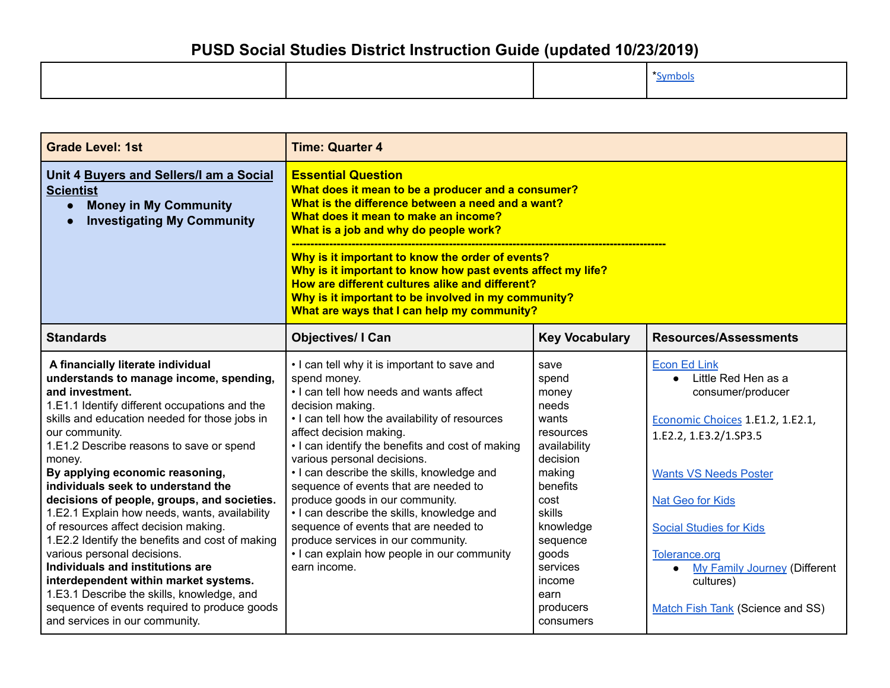|  | vmnol |
|--|-------|
|--|-------|

| <b>Grade Level: 1st</b>                                                                                                                                                                                                                                                                                                                                                                                                                                                                                                                                                                                                                                                                                                                                                                   | <b>Time: Quarter 4</b>                                                                                                                                                                                                                                                                                                                                                                                                                                                                                                                                                                                            |                                                                                                                                                                                                                     |                                                                                                                                                                                                                                                                                                                                     |
|-------------------------------------------------------------------------------------------------------------------------------------------------------------------------------------------------------------------------------------------------------------------------------------------------------------------------------------------------------------------------------------------------------------------------------------------------------------------------------------------------------------------------------------------------------------------------------------------------------------------------------------------------------------------------------------------------------------------------------------------------------------------------------------------|-------------------------------------------------------------------------------------------------------------------------------------------------------------------------------------------------------------------------------------------------------------------------------------------------------------------------------------------------------------------------------------------------------------------------------------------------------------------------------------------------------------------------------------------------------------------------------------------------------------------|---------------------------------------------------------------------------------------------------------------------------------------------------------------------------------------------------------------------|-------------------------------------------------------------------------------------------------------------------------------------------------------------------------------------------------------------------------------------------------------------------------------------------------------------------------------------|
| Unit 4 Buyers and Sellers/I am a Social<br><b>Scientist</b><br><b>Money in My Community</b><br>$\bullet$<br><b>Investigating My Community</b>                                                                                                                                                                                                                                                                                                                                                                                                                                                                                                                                                                                                                                             | <b>Essential Question</b><br>What does it mean to be a producer and a consumer?<br>What is the difference between a need and a want?<br>What does it mean to make an income?<br>What is a job and why do people work?<br>Why is it important to know the order of events?<br>Why is it important to know how past events affect my life?<br>How are different cultures alike and different?<br>Why is it important to be involved in my community?<br>What are ways that I can help my community?                                                                                                                 |                                                                                                                                                                                                                     |                                                                                                                                                                                                                                                                                                                                     |
| <b>Standards</b>                                                                                                                                                                                                                                                                                                                                                                                                                                                                                                                                                                                                                                                                                                                                                                          | <b>Objectives/ I Can</b>                                                                                                                                                                                                                                                                                                                                                                                                                                                                                                                                                                                          | <b>Key Vocabulary</b>                                                                                                                                                                                               | <b>Resources/Assessments</b>                                                                                                                                                                                                                                                                                                        |
| A financially literate individual<br>understands to manage income, spending,<br>and investment.<br>1.E1.1 Identify different occupations and the<br>skills and education needed for those jobs in<br>our community.<br>1.E1.2 Describe reasons to save or spend<br>money.<br>By applying economic reasoning,<br>individuals seek to understand the<br>decisions of people, groups, and societies.<br>1.E2.1 Explain how needs, wants, availability<br>of resources affect decision making.<br>1.E2.2 Identify the benefits and cost of making<br>various personal decisions.<br>Individuals and institutions are<br>interdependent within market systems.<br>1.E3.1 Describe the skills, knowledge, and<br>sequence of events required to produce goods<br>and services in our community. | • I can tell why it is important to save and<br>spend money.<br>. I can tell how needs and wants affect<br>decision making.<br>• I can tell how the availability of resources<br>affect decision making.<br>• I can identify the benefits and cost of making<br>various personal decisions.<br>• I can describe the skills, knowledge and<br>sequence of events that are needed to<br>produce goods in our community.<br>• I can describe the skills, knowledge and<br>sequence of events that are needed to<br>produce services in our community.<br>• I can explain how people in our community<br>earn income. | save<br>spend<br>money<br>needs<br>wants<br>resources<br>availability<br>decision<br>making<br>benefits<br>cost<br>skills<br>knowledge<br>sequence<br>goods<br>services<br>income<br>earn<br>producers<br>consumers | <b>Econ Ed Link</b><br>Little Red Hen as a<br>consumer/producer<br>Economic Choices 1.E1.2, 1.E2.1,<br>1.E2.2, 1.E3.2/1.SP3.5<br><b>Wants VS Needs Poster</b><br><b>Nat Geo for Kids</b><br><b>Social Studies for Kids</b><br>Tolerance.org<br><b>My Family Journey (Different</b><br>cultures)<br>Match Fish Tank (Science and SS) |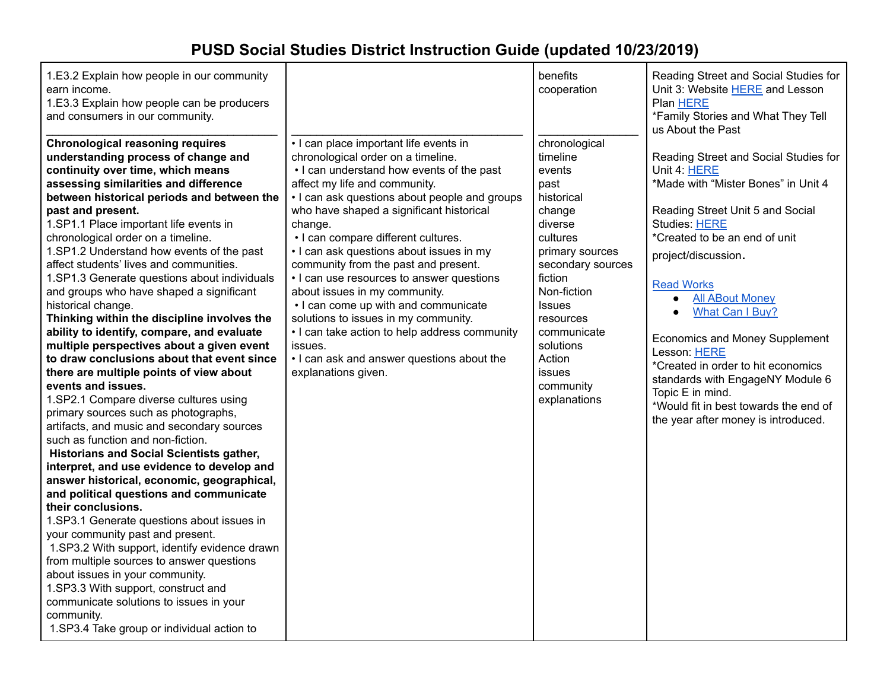| 1.E3.2 Explain how people in our community<br>earn income.<br>1.E3.3 Explain how people can be producers<br>and consumers in our community.                                                                                                                                                                                                                                                                                                                                                                                                                                                                                                                                                                                                                                                                                                                                                                                                                                                                                                                                                                                                                                                                                                                                                                                                                                                                                                                                                                                              |                                                                                                                                                                                                                                                                                                                                                                                                                                                                                                                                                                                                                                                                                              | benefits<br>cooperation                                                                                                                                                                                                                                                 | Reading Street and Social Studies for<br>Unit 3: Website HERE and Lesson<br>Plan HERE<br>*Family Stories and What They Tell<br>us About the Past                                                                                                                                                                                                                                                                                                                                                                                |
|------------------------------------------------------------------------------------------------------------------------------------------------------------------------------------------------------------------------------------------------------------------------------------------------------------------------------------------------------------------------------------------------------------------------------------------------------------------------------------------------------------------------------------------------------------------------------------------------------------------------------------------------------------------------------------------------------------------------------------------------------------------------------------------------------------------------------------------------------------------------------------------------------------------------------------------------------------------------------------------------------------------------------------------------------------------------------------------------------------------------------------------------------------------------------------------------------------------------------------------------------------------------------------------------------------------------------------------------------------------------------------------------------------------------------------------------------------------------------------------------------------------------------------------|----------------------------------------------------------------------------------------------------------------------------------------------------------------------------------------------------------------------------------------------------------------------------------------------------------------------------------------------------------------------------------------------------------------------------------------------------------------------------------------------------------------------------------------------------------------------------------------------------------------------------------------------------------------------------------------------|-------------------------------------------------------------------------------------------------------------------------------------------------------------------------------------------------------------------------------------------------------------------------|---------------------------------------------------------------------------------------------------------------------------------------------------------------------------------------------------------------------------------------------------------------------------------------------------------------------------------------------------------------------------------------------------------------------------------------------------------------------------------------------------------------------------------|
| <b>Chronological reasoning requires</b><br>understanding process of change and<br>continuity over time, which means<br>assessing similarities and difference<br>between historical periods and between the<br>past and present.<br>1.SP1.1 Place important life events in<br>chronological order on a timeline.<br>1.SP1.2 Understand how events of the past<br>affect students' lives and communities.<br>1.SP1.3 Generate questions about individuals<br>and groups who have shaped a significant<br>historical change.<br>Thinking within the discipline involves the<br>ability to identify, compare, and evaluate<br>multiple perspectives about a given event<br>to draw conclusions about that event since<br>there are multiple points of view about<br>events and issues.<br>1.SP2.1 Compare diverse cultures using<br>primary sources such as photographs,<br>artifacts, and music and secondary sources<br>such as function and non-fiction.<br><b>Historians and Social Scientists gather,</b><br>interpret, and use evidence to develop and<br>answer historical, economic, geographical,<br>and political questions and communicate<br>their conclusions.<br>1.SP3.1 Generate questions about issues in<br>your community past and present.<br>1.SP3.2 With support, identify evidence drawn<br>from multiple sources to answer questions<br>about issues in your community.<br>1.SP3.3 With support, construct and<br>communicate solutions to issues in your<br>community.<br>1.SP3.4 Take group or individual action to | • I can place important life events in<br>chronological order on a timeline.<br>• I can understand how events of the past<br>affect my life and community.<br>• I can ask questions about people and groups<br>who have shaped a significant historical<br>change.<br>• I can compare different cultures.<br>• I can ask questions about issues in my<br>community from the past and present.<br>• I can use resources to answer questions<br>about issues in my community.<br>• I can come up with and communicate<br>solutions to issues in my community.<br>• I can take action to help address community<br>issues.<br>• I can ask and answer questions about the<br>explanations given. | chronological<br>timeline<br>events<br>past<br>historical<br>change<br>diverse<br>cultures<br>primary sources<br>secondary sources<br>fiction<br>Non-fiction<br><b>Issues</b><br>resources<br>communicate<br>solutions<br>Action<br>issues<br>community<br>explanations | Reading Street and Social Studies for<br>Unit 4: HERE<br>*Made with "Mister Bones" in Unit 4<br>Reading Street Unit 5 and Social<br>Studies: HERE<br>*Created to be an end of unit<br>project/discussion.<br><b>Read Works</b><br><b>All ABout Money</b><br>$\bullet$<br>What Can I Buy?<br><b>Economics and Money Supplement</b><br>Lesson: HERE<br>*Created in order to hit economics<br>standards with EngageNY Module 6<br>Topic E in mind.<br>*Would fit in best towards the end of<br>the year after money is introduced. |